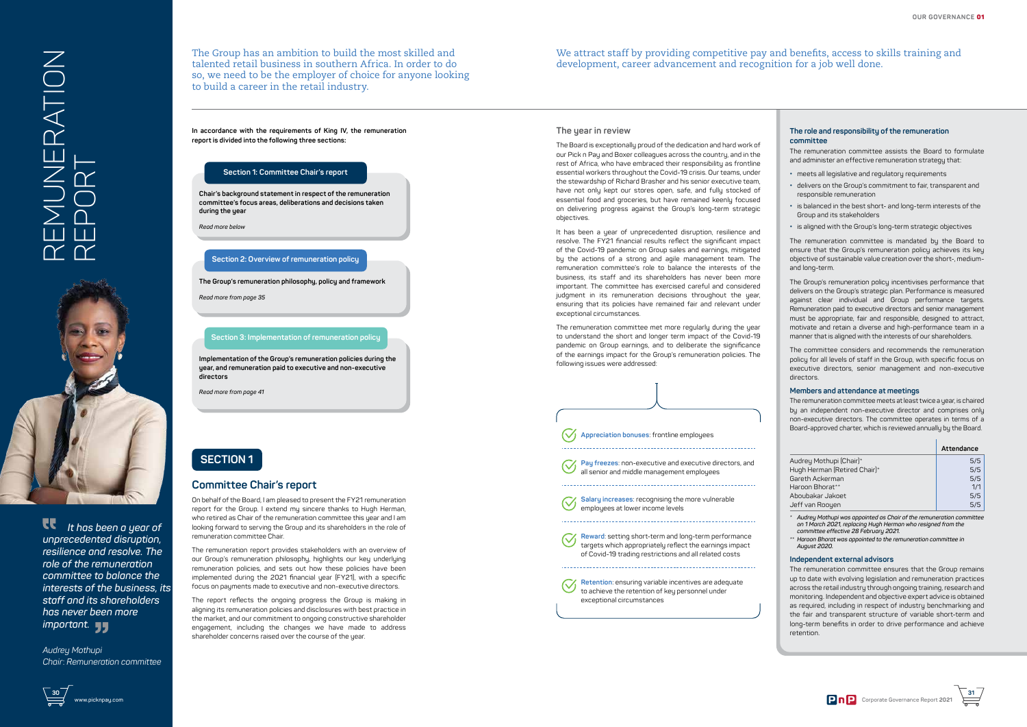



# **SECTION 1**

## **Committee Chair's report**

On behalf of the Board, I am pleased to present the FY21 remuneration report for the Group. I extend mu sincere thanks to Hugh Herman, who retired as Chair of the remuneration committee this year and I am looking forward to serving the Group and its shareholders in the role of remuneration committee Chair.

The remuneration report provides stakeholders with an overview of our Group's remuneration philosophy, highlights our key underlying remuneration policies, and sets out how these policies have been implemented during the 2021 financial year (FY21), with a specific focus on payments made to executive and non-executive directors.

The remuneration committee assists the Board to formulate and administer an effective remuneration strategy that:

The report reflects the ongoing progress the Group is making in aligning its remuneration policies and disclosures with best practice in the market, and our commitment to ongoing constructive shareholder engagement, including the changes we have made to address shareholder concerns raised over the course of the year.

The Group has an ambition to build the most skilled and talented retail business in southern Africa. In order to do so, we need to be the employer of choice for anyone looking to build a career in the retail industry.

#### **The role and responsibility of the remuneration committee**

- **•** meets all legislative and regulatory requirements
- **•** delivers on the Group's commitment to fair, transparent and responsible remuneration
- **•** is balanced in the best short- and long-term interests of the Group and its stakeholders
- **•** is aligned with the Group's long-term strategic objectives

The remuneration committee is mandated by the Board to ensure that the Group's remuneration policy achieves its key objective of sustainable value creation over the short-, mediumand long-term.

The Group's remuneration policy incentivises performance that delivers on the Group's strategic plan. Performance is measured against clear individual and Group performance targets. Remuneration paid to executive directors and senior management must be appropriate, fair and responsible, designed to attract, motivate and retain a diverse and high-performance team in a manner that is aligned with the interests of our shareholders.

The committee considers and recommends the remuneration policy for all levels of staff in the Group, with specific focus on executive directors, senior management and non-executive directors.

#### **Members and attendance at meetings**

The remuneration committee meets at least twice a year, is chaired by an independent non-executive director and comprises only non-executive directors. The committee operates in terms of a Board-approved charter, which is reviewed annually by the Board.

|                              | Attendance |
|------------------------------|------------|
| Audrey Mothupi (Chair)*      | 5/5        |
| Hugh Herman (Retired Chair)* | 5/5        |
| Gareth Ackerman              | 5/5        |
| Haroon Bhorat**              | 1/1        |
| Aboubakar Jakoet             | 5/5        |
| Jeff van Rooyen              | 5/5        |

*\* Audrey Mothupi was appointed as Chair of the remuneration committee on 1 March 2021, replacing Hugh Herman who resigned from the committee effective 28 February 2021.*

 *It has been a year of unprecedented disruption, resilience and resolve. The role of the remuneration committee to balance the interests of the business, its staff and its shareholders has never been more important.* 

*\*\* Haroon Bhorat was appointed to the remuneration committee in August 2020.* 

#### **Independent external advisors**

# REMUNERATION EMUNERATION<br>EPORT



The remuneration committee ensures that the Group remains up to date with evolving legislation and remuneration practices across the retail industry through ongoing training, research and monitoring. Independent and objective expert advice is obtained as required, including in respect of industry benchmarking and the fair and transparent structure of variable short-term and long-term benefits in order to drive performance and achieve retention.



#### **In accordance with the requirements of King IV, the remuneration report is divided into the following three sections:**

**Chair's background statement in respect of the remuneration committee's focus areas, deliberations and decisions taken during the year**

*Read more below*

## **Section 1: Committee Chair's report**

**The Group's remuneration philosophy, policy and framework**

*Read more from page 35*

## **Section 2: Overview of remuneration policy**

**Implementation of the Group's remuneration policies during the year, and remuneration paid to executive and non-executive directors**

*Read more from page 41*

## **Section 3: Implementation of remuneration policy**

#### **The year in review**

The Board is exceptionally proud of the dedication and hard work of our Pick n Pay and Boxer colleagues across the country, and in the rest of Africa, who have embraced their responsibility as frontline essential workers throughout the Covid-19 crisis. Our teams, under the stewardship of Richard Brasher and his senior executive team, have not only kept our stores open, safe, and fully stocked of essential food and groceries, but have remained keenly focused on delivering progress against the Group's long-term strategic objectives.

It has been a year of unprecedented disruption, resilience and resolve. The FY21 financial results reflect the significant impact of the Covid-19 pandemic on Group sales and earnings, mitigated by the actions of a strong and agile management team. The remuneration committee's role to balance the interests of the business, its staff and its shareholders has never been more important. The committee has exercised careful and considered judgment in its remuneration decisions throughout the year, ensuring that its policies have remained fair and relevant under exceptional circumstances.

The remuneration committee met more regularly during the year to understand the short and longer term impact of the Covid-19 pandemic on Group earnings, and to deliberate the significance of the earnings impact for the Group's remuneration policies. The following issues were addressed:

| Appreciation bonuses: frontline employees                                                                                                                                                                        |
|------------------------------------------------------------------------------------------------------------------------------------------------------------------------------------------------------------------|
| Pay freezes: non-executive and executive directors, and<br>all senior and middle management employees                                                                                                            |
| <b>Salary increases:</b> recognising the more vulnerable<br>employees at lower income levels                                                                                                                     |
| Reward: setting short-term and long-term performance<br>targets which appropriately reflect the earnings impact<br>of Covid-19 trading restrictions and all related costs<br>----------------------------------- |
| Retention: ensuring variable incentives are adequate<br>to achieve the retention of key personnel under<br>exceptional circumstances                                                                             |

*Audrey Mothupi Chair*: *Remuneration committee* 

We attract staff by providing competitive pay and benefits, access to skills training and development, career advancement and recognition for a job well done.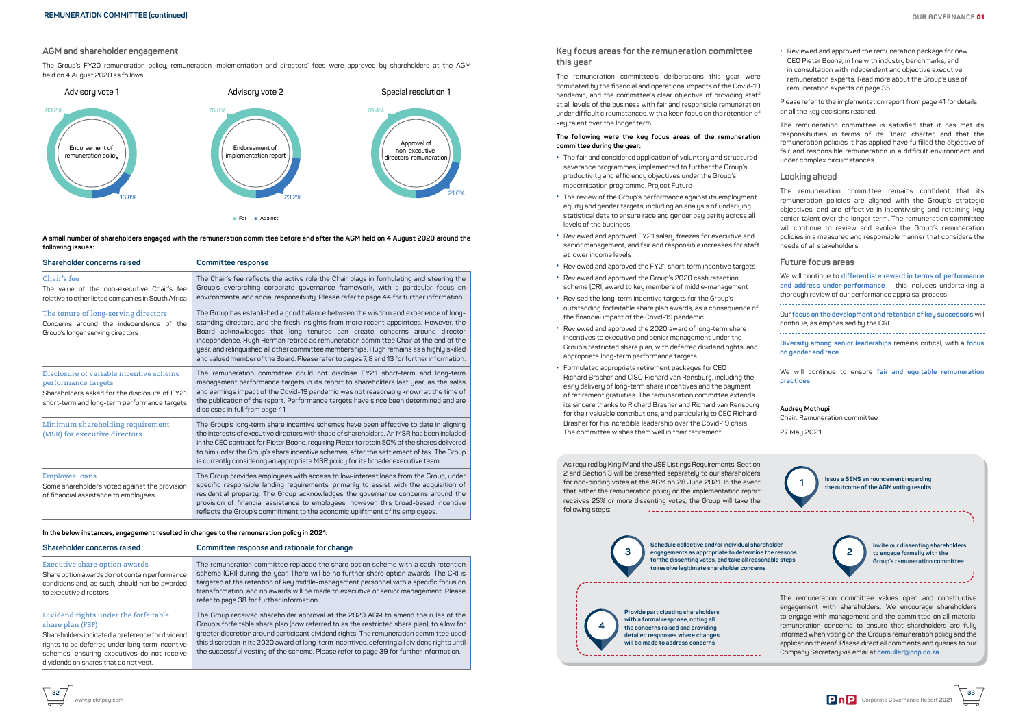**33**

**A small number of shareholders engaged with the remuneration committee before and after the AGM held on 4 August 2020 around the following issues:**

| Shareholder concerns raised                                                                                                                                     | <b>Committee response</b>                                                                                                                                                                                                                                                                                                                                                                                                                                                                                                                |
|-----------------------------------------------------------------------------------------------------------------------------------------------------------------|------------------------------------------------------------------------------------------------------------------------------------------------------------------------------------------------------------------------------------------------------------------------------------------------------------------------------------------------------------------------------------------------------------------------------------------------------------------------------------------------------------------------------------------|
| Chair's fee<br>The value of the non-executive Chair's fee<br>relative to other listed companies in South Africa                                                 | The Chair's fee reflects the active role the Chair plays in formulating and steering the<br>Group's overarching corporate governance framework, with a particular focus on<br>environmental and social responsibility. Please refer to page 44 for further information.                                                                                                                                                                                                                                                                  |
| The tenure of long-serving directors<br>Concerns around the independence of the<br>Group's longer serving directors                                             | The Group has established a good balance between the wisdom and experience of long-<br>standing directors, and the fresh insights from more recent appointees. However, the<br>Board acknowledges that long tenures can create concerns around director<br>independence. Hugh Herman retired as remuneration committee Chair at the end of the<br>year, and relinquished all other committee memberships. Hugh remains as a highly skilled<br>and valued member of the Board. Please refer to pages 7, 8 and 13 for further information. |
| Disclosure of variable incentive scheme<br>performance targets<br>Shareholders asked for the disclosure of FY21<br>short-term and long-term performance targets | The remuneration committee could not disclose FY21 short-term and long-term<br>management performance targets in its report to shareholders last year, as the sales<br>and earnings impact of the Covid-19 pandemic was not reasonably known at the time of<br>the publication of the report. Performance targets have since been determined and are<br>disclosed in full from page 41.                                                                                                                                                  |
| Minimum shareholding requirement<br>(MSR) for executive directors                                                                                               | The Group's long-term share incentive schemes have been effective to date in aligning<br>the interests of executive directors with those of shareholders. An MSR has been included<br>in the CEO contract for Pieter Boone, requiring Pieter to retain 50% of the shares delivered<br>to him under the Group's share incentive schemes, after the settlement of tax. The Group<br>is currently considering an appropriate MSR policy for its broader executive team.                                                                     |
| Employee loans<br>Some shareholders voted against the provision<br>of financial assistance to employees                                                         | The Group provides employees with access to low-interest loans from the Group, under<br>specific responsible lending requirements, primarily to assist with the acquisition of<br>residential property. The Group acknowledges the governance concerns around the<br>provision of financial assistance to employees; however, this broad-based incentive<br>reflects the Group's commitment to the economic upliftment of its employees.                                                                                                 |

**In the below instances, engagement resulted in changes to the remuneration policy in 2021:**

| Shareholder concerns raised                                                                                                                                                                                                                              | Committee response and rationale for change                                                                                                                                                                                                                                                                                                                                                                                                                            |
|----------------------------------------------------------------------------------------------------------------------------------------------------------------------------------------------------------------------------------------------------------|------------------------------------------------------------------------------------------------------------------------------------------------------------------------------------------------------------------------------------------------------------------------------------------------------------------------------------------------------------------------------------------------------------------------------------------------------------------------|
| Executive share option awards<br>Share option awards do not contain performance<br>conditions and, as such, should not be awarded<br>to executive directors                                                                                              | The remuneration committee replaced the share option scheme with a cash retention<br>scheme (CRI) during the year. There will be no further share option awards. The CRI is<br>targeted at the retention of key middle-management personnel with a specific focus on<br>transformation, and no awards will be made to executive or senior management. Please<br>refer to page 38 for further information.                                                              |
| Dividend rights under the forfeitable<br>share plan (FSP)<br>Shareholders indicated a preference for dividend<br>rights to be deferred under long-term incentive<br>schemes, ensuring executives do not receive<br>dividends on shares that do not vest. | The Group received shareholder approval at the 2020 AGM to amend the rules of the<br>Group's forfeitable share plan (now referred to as the restricted share plan), to allow for<br>greater discretion around participant dividend rights. The remuneration committee used<br>this discretion in its 2020 award of long-term incentives, deferring all dividend rights until<br>the successful vesting of the scheme. Please refer to page 39 for further information. |

#### **AGM and shareholder engagement**

The Group's FY20 remuneration policy, remuneration implementation and directors' fees were approved by shareholders at the AGM held on 4 August 2020 as follows:



## **Key focus areas for the remuneration committee this year**

The remuneration committee's deliberations this year were dominated by the financial and operational impacts of the Covid-19 pandemic, and the committee's clear objective of providing staff at all levels of the business with fair and responsible remuneration under difficult circumstances, with a keen focus on the retention of key talent over the longer term.

#### **The following were the key focus areas of the remuneration committee during the year:**

- **•** The fair and considered application of voluntary and structured severance programmes, implemented to further the Group's productivity and efficiency objectives under the Group's modernisation programme, Project Future
- **•** The review of the Group's performance against its employment equity and gender targets, including an analysis of underlying statistical data to ensure race and gender pay parity across all levels of the business
- **•** Reviewed and approved FY21 salary freezes for executive and senior management, and fair and responsible increases for staff at lower income levels
- **•** Reviewed and approved the FY21 short-term incentive targets
- **•** Reviewed and approved the Group's 2020 cash retention scheme (CRI) award to key members of middle-management
- **•** Revised the long-term incentive targets for the Group's outstanding forfeitable share plan awards, as a consequence of the financial impact of the Covid-19 pandemic
- **•** Reviewed and approved the 2020 award of long-term share incentives to executive and senior management under the Group's restricted share plan, with deferred dividend rights, and appropriate long-term performance targets
- **•** Formulated appropriate retirement packages for CEO Richard Brasher and CISO Richard van Rensburg, including the early delivery of long-term share incentives and the payment of retirement gratuities. The remuneration committee extends its sincere thanks to Richard Brasher and Richard van Rensburg for their valuable contributions, and particularly to CEO Richard Brasher for his incredible leadership over the Covid-19 crisis. The committee wishes them well in their retirement.

**•** Reviewed and approved the remuneration package for new CEO Pieter Boone, in line with industry benchmarks, and in consultation with independent and objective executive remuneration experts. Read more about the Group's use of remuneration experts on page 35

Please refer to the implementation report from page 41 for details on all the key decisions reached.

The remuneration committee is satisfied that it has met its responsibilities in terms of its Board charter, and that the remuneration policies it has applied have fulfilled the objective of fair and responsible remuneration in a difficult environment and under complex circumstances.

#### **Looking ahead**

The remuneration committee remains confident that its remuneration policies are aligned with the Group's strategic objectives, and are effective in incentivising and retaining key senior talent over the longer term. The remuneration committee will continue to review and evolve the Group's remuneration policies in a measured and responsible manner that considers the needs of all stakeholders.

#### **Future focus areas**

We will continue to **differentiate reward in terms of performance and address under-performance** – this includes undertaking a thorough review of our performance appraisal process

Our **focus on the development and retention of key successors** will continue, as emphasised by the CRI **Diversity among senior leaderships** remains critical, with a **focus** 

**on gender and race**  

We will continue to ensure **fair and equitable remuneration practices**

#### **Audrey Mothupi**

Chair: Remuneration committee

27 May 2021

As required by King IV and the JSE Listings Requirements, Section 2 and Section 3 will be presented separately to our shareholders for non-binding votes at the AGM on 28 June 2021. In the event that either the remuneration policy or the implementation report receives 25% or more dissenting votes, the Group will take the following steps: 

**1 Issue a SENS announcement regarding the outcome of the AGM voting results**

**Invite our dissenting shareholders to engage formally with the Group's remuneration committee**

**Schedule collective and/or individual shareholder for the dissenting votes, and take all reasonable steps** 

**to resolve legitimate shareholder concerns**





**Provide participating shareholders with a formal response, noting all the concerns raised and providing detailed responses where changes** 

**will be made to address concerns**

**4**

The remuneration committee values open and constructive engagement with shareholders. We encourage shareholders to engage with management and the committee on all material remuneration concerns to ensure that shareholders are fully informed when voting on the Group's remuneration policy and the application thereof. Please direct all comments and queries to our Company Secretary via email at **demuller@pnp.co.za**.

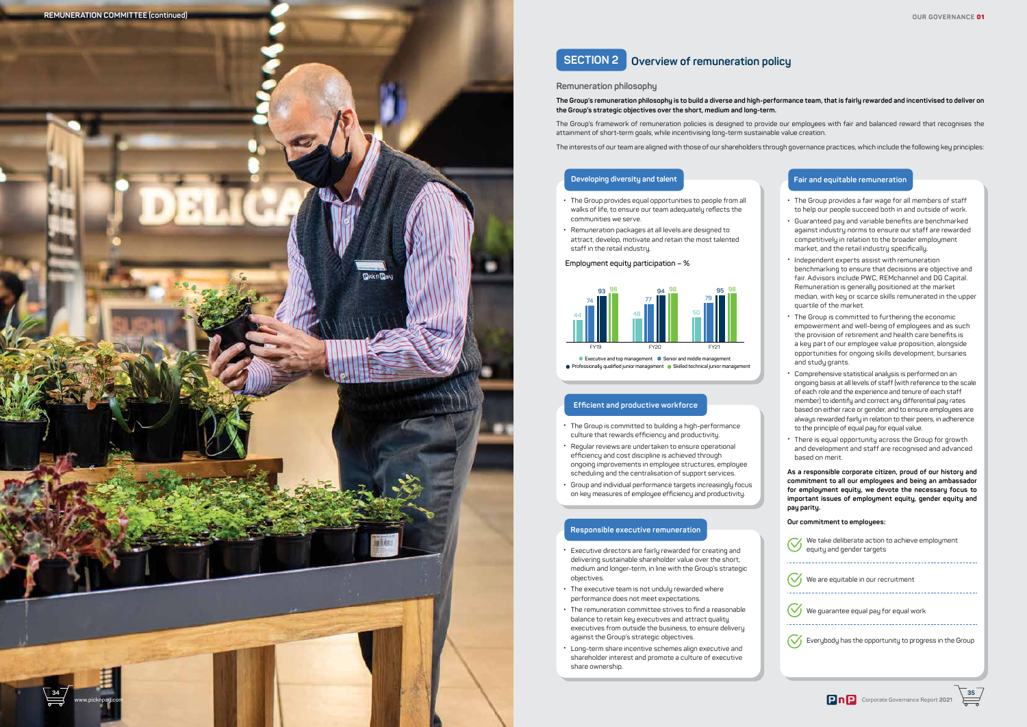

- **•** The Group provides equal opportunities to people from all walks of life, to ensure our team adequately reflects the communities we serve.
- **•** Remuneration packages at all levels are designed to attract, develop, motivate and retain the most talented staff in the retail industry.

# **SECTION 2 Overview of remuneration policy**

#### **Remuneration philosophy**

**The Group's remuneration philosophy is to build a diverse and high-performance team, that is fairly rewarded and incentivised to deliver on the Group's strategic objectives over the short, medium and long-term.** 

The Group's framework of remuneration policies is designed to provide our employees with fair and balanced reward that recognises the attainment of short-term goals, while incentivising long-term sustainable value creation.

The interests of our team are aligned with those of our shareholders through governance practices, which include the following key principles:

#### **Employment equity participation – %**

• **Executive and top management** • **Senior and middle management**  • **Professionally qualified junior management** • **Skilled technical junior management**



## **Developing diversity and talent**

- **•** The Group is committed to building a high-performance culture that rewards efficiency and productivity.
- **•** Regular reviews are undertaken to ensure operational efficiency and cost discipline is achieved through ongoing improvements in employee structures, employee scheduling and the centralisation of support services.
- **•** Group and individual performance targets increasingly focus on key measures of employee efficiency and productivity.

#### **Efficient and productive workforce**

- **•** Executive directors are fairly rewarded for creating and delivering sustainable shareholder value over the short, medium and longer-term, in line with the Group's strategic objectives.
- **•** The executive team is not unduly rewarded where performance does not meet expectations.
- **•** The remuneration committee strives to find a reasonable balance to retain key executives and attract quality executives from outside the business, to ensure delivery against the Group's strategic objectives.
- **•** Long-term share incentive schemes align executive and shareholder interest and promote a culture of executive share ownership.

#### **Responsible executive remuneration**

- **•** The Group provides a fair wage for all members of staff to help our people succeed both in and outside of work.
- **•** Guaranteed pay and variable benefits are benchmarked against industry norms to ensure our staff are rewarded competitively in relation to the broader employment market, and the retail industry specifically.
- **•** Independent experts assist with remuneration benchmarking to ensure that decisions are objective and fair. Advisors include PWC, REMchannel and DG Capital. Remuneration is generally positioned at the market median, with key or scarce skills remunerated in the upper quartile of the market.
- **•** The Group is committed to furthering the economic empowerment and well-being of employees and as such the provision of retirement and health care benefits is a key part of our employee value proposition, alongside opportunities for ongoing skills development, bursaries and study grants.
- **•** Comprehensive statistical analysis is performed on an ongoing basis at all levels of staff (with reference to the scale of each role and the experience and tenure of each staff member) to identify and correct any differential pay rates based on either race or gender, and to ensure employees are always rewarded fairly in relation to their peers, in adherence to the principle of equal pay for equal value.
- **•** There is equal opportunity across the Group for growth and development and staff are recognised and advanced based on merit.

**As a responsible corporate citizen, proud of our history and commitment to all our employees and being an ambassador for employment equity, we devote the necessary focus to important issues of employment equity, gender equity and pay parity.**

#### **Our commitment to employees:**

We take deliberate action to achieve employment equity and gender targets

**W** We are equitable in our recruitment

 $\left(\bigvee_{k=1}^{\infty} \mathbb{V}_{k=1}\right)$  We guarantee equal pay for equal work

*C* Everybody has the opportunity to progress in the Group



### **Fair and equitable remuneration**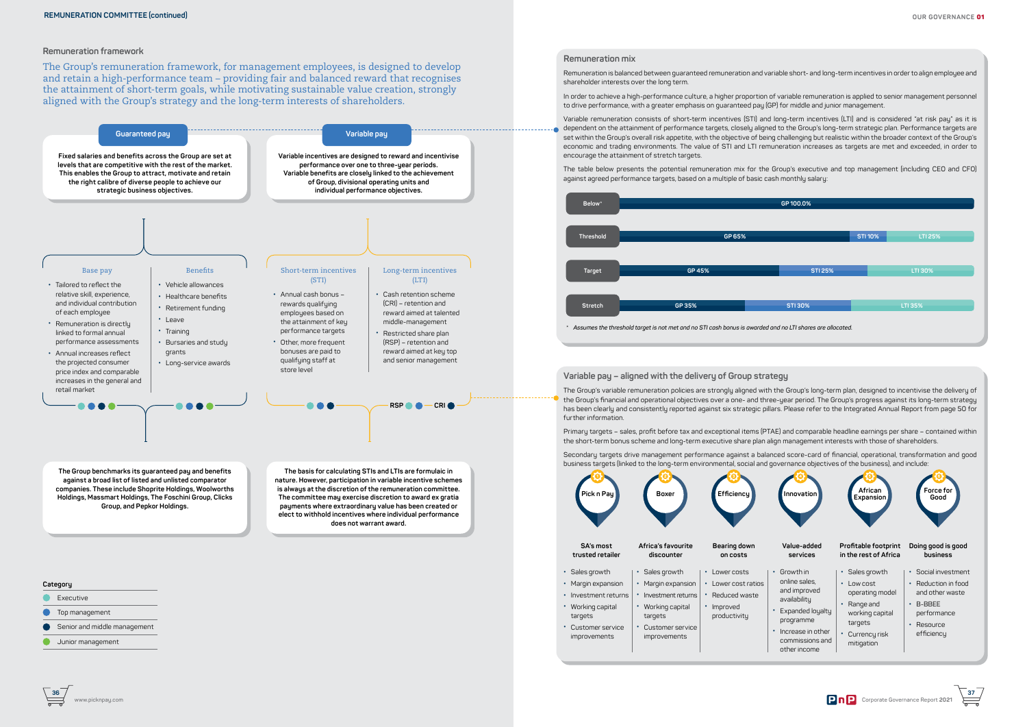

## **Remuneration mix**

Remuneration is balanced between guaranteed remuneration and variable short- and long-term incentives in order to align employee and shareholder interests over the long term.

In order to achieve a high-performance culture, a higher proportion of variable remuneration is applied to senior management personnel to drive performance, with a greater emphasis on guaranteed pay (GP) for middle and junior management.

Variable remuneration consists of short-term incentives (STI) and long-term incentives (LTI) and is considered "at risk pay" as it is dependent on the attainment of performance targets, closely aligned to the Group's long-term strategic plan. Performance targets are set within the Group's overall risk appetite, with the objective of being challenging but realistic within the broader context of the Group's economic and trading environments. The value of STI and LTI remuneration increases as targets are met and exceeded, in order to encourage the attainment of stretch targets.

The table below presents the potential remuneration mix for the Group's executive and top management (including CEO and CFO) against agreed performance targets, based on a multiple of basic cash monthly salary:

#### **Remuneration framework**

The Group's remuneration framework, for management employees, is designed to develop and retain a high-performance team – providing fair and balanced reward that recognises the attainment of short-term goals, while motivating sustainable value creation, strongly aligned with the Group's strategy and the long-term interests of shareholders.



**Variable pay – aligned with the delivery of Group strategy**

The Group's variable remuneration policies are strongly aligned with the Group's long-term plan, designed to incentivise the delivery of the Group's financial and operational objectives over a one- and three-year period. The Group's progress against its long-term strategy has been clearly and consistently reported against six strategic pillars. Please refer to the Integrated Annual Report from page 50 for further information.

Primary targets – sales, profit before tax and exceptional items (PTAE) and comparable headline earnings per share – contained within the short-term bonus scheme and long-term executive share plan align management interests with those of shareholders.

Secondary targets drive management performance against a balanced score-card of financial, operational, transformation and good business targets (linked to the long-term environmental, social and governance objectives of the business), and include:





## **Category**

- Executive
- **O** Top management
- Senior and middle management
- Junior management

**nature. However, participation in variable incentive schemes is always at the discretion of the remuneration committee. The committee may exercise discretion to award ex gratia payments where extraordinary value has been created or elect to withhold incentives where individual performance does not warrant award.** 

**against a broad list of listed and unlisted comparator companies. These include Shoprite Holdings, Woolworths Holdings, Massmart Holdings, The Foschini Group, Clicks Group, and Pepkor Holdings.**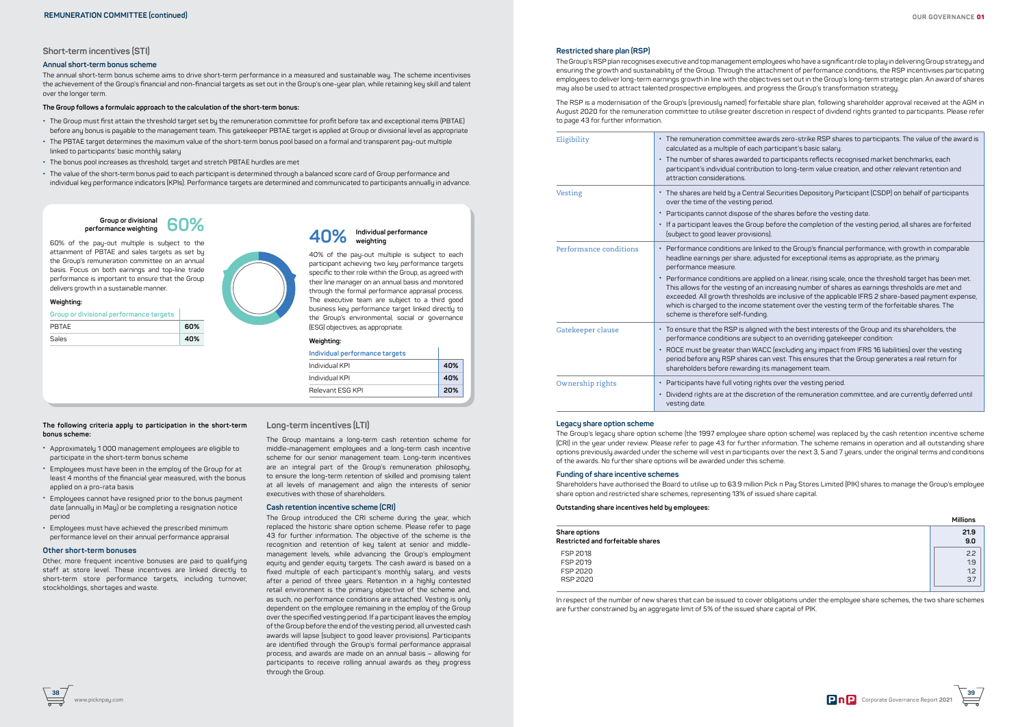

#### **Short-term incentives (STI)**

#### **Annual short-term bonus scheme**

The annual short-term bonus scheme aims to drive short-term performance in a measured and sustainable way. The scheme incentivises the achievement of the Group's financial and non-financial targets as set out in the Group's one-year plan, while retaining key skill and talent over the longer term.

#### **The Group follows a formulaic approach to the calculation of the short-term bonus:**

- **•** The Group must first attain the threshold target set by the remuneration committee for profit before tax and exceptional items (PBTAE) before any bonus is payable to the management team. This gatekeeper PBTAE target is applied at Group or divisional level as appropriate
- **•** The PBTAE target determines the maximum value of the short-term bonus pool based on a formal and transparent pay-out multiple linked to participants' basic monthly salary
- **•** The bonus pool increases as threshold, target and stretch PBTAE hurdles are met
- **•** The value of the short-term bonus paid to each participant is determined through a balanced score card of Group performance and individual key performance indicators (KPIs). Performance targets are determined and communicated to participants annually in advance.

Other, more frequent incentive bonuses are paid to qualifying staff at store level. These incentives are linked directly to short-term store performance targets, including turnover, stockholdings, shortages and waste.

#### **The following criteria apply to participation in the short-term bonus scheme:**

- **•** Approximately 1 000 management employees are eligible to participate in the short-term bonus scheme
- **•** Employees must have been in the employ of the Group for at least 4 months of the financial year measured, with the bonus applied on a pro-rata basis
- **•** Employees cannot have resigned prior to the bonus payment date (annually in May) or be completing a resignation notice period
- **•** Employees must have achieved the prescribed minimum performance level on their annual performance appraisal

#### **Other short-term bonuses**

**Long-term incentives (LTI)**

Eligibility **•** The remuneration committee awards zero-strike RSP shares to participants. The value of the award is ticipant's basic salary.

**•** The number of shares awarded to participants reflects recognised market benchmarks, each to long-term value creation, and other relevant retention and

The Group maintains a long-term cash retention scheme for middle-management employees and a long-term cash incentive scheme for our senior management team. Long-term incentives are an integral part of the Group's remuneration philosophy, to ensure the long-term retention of skilled and promising talent at all levels of management and align the interests of senior

curities Depository Participant (CSDP) on behalf of participants

 $\frac{1}{2}$  Particle of the vesting date.

executives with those of shareholders. **Cash retention incentive scheme (CRI)**

The Group introduced the CRI scheme during the year, which replaced the historic share option scheme. Please refer to page 43 for further information. The objective of the scheme is the recognition and retention of key talent at senior and middlemanagement levels, while advancing the Group's employment equity and gender equity targets. The cash award is based on a fixed multiple of each participant's monthly salary, and vests after a period of three years. Retention in a highly contested retail environment is the primary objective of the scheme and, as such, no performance conditions are attached. Vesting is only dependent on the employee remaining in the employ of the Group over the specified vesting period. If a participant leaves the employ of the Group before the end of the vesting period, all unvested cash awards will lapse (subject to good leaver provisions). Participants are identified through the Group's formal performance appraisal process, and awards are made on an annual basis – allowing for participants to receive rolling annual awards as they progress

The Group's legacy share option scheme (the 1997 employee share option scheme) was replaced by the cash retention incentive scheme (CRI) in the year under review. Please refer to page 43 for further information. The scheme remains in operation and all outstanding share options previously awarded under the scheme will vest in participants over the next 3, 5 and 7 years, under the original terms and conditions of the awards. No further share options will be awarded under this scheme.

through the Group.

**Restricted share plan (RSP)**

The Group's RSP plan recognises executive and top management employees who have a significant role to play in delivering Group strategy and ensuring the growth and sustainability of the Group. Through the attachment of performance conditions, the RSP incentivises participating employees to deliver long-term earnings growth in line with the objectives set out in the Group's long-term strategic plan. An award of shares may also be used to attract talented prospective employees, and progress the Group's transformation strategy.

40% of the pau-out multiple is subject to each participant achieving two key performance targets specific to their role within the Group, as agreed with their line manager on an annual basis and monitored through the formal performance appraisal process. The executive team are subject to a third good business key performance target linked directly to the Group's environmental, social or governance (ESG) objectives, as appropriate.

The RSP is a modernisation of the Group's (previously named) forfeitable share plan, following shareholder approval received at the AGM in August 2020 for the remuneration committee to utilise greater discretion in respect of dividend rights granted to participants. Please refer to page 43 for further information.

**•** If a participant leaves the Group before the completion of the vesting period, all shares are forfeited

to the Group's financial performance, with growth in comparable  $h$ ed for exceptional items as appropriate, as the primary

 $\theta$  on a linear, rising scale, once the threshold target has been met. reasing number of shares as earnings thresholds are met and inclusive of the applicable IFRS 2 share-based payment expense, ement over the vesting term of the forfeitable shares. The

ith the best interests of the Group and its shareholders, the to an overriding gatekeeper condition:

 $\epsilon$ ×cluding any impact from IFRS 16 liabilities) over the vesting  $\nu$ est. This ensures that the Group generates a real return for hanagement team.

over the vesting period.

of the remuneration committee, and are currently deferred until

| Eligibility            | The remuneration committee award<br>calculated as a multiple of each part<br>The number of shares awarded to pa<br>participant's individual contribution<br>attraction considerations.                                                                                                                 |
|------------------------|--------------------------------------------------------------------------------------------------------------------------------------------------------------------------------------------------------------------------------------------------------------------------------------------------------|
| Vesting                | The shares are held by a Central Se<br>over the time of the vesting period.<br>Participants cannot dispose of the<br>If a participant leaves the Group bef<br>(subject to good leaver provisions).                                                                                                     |
| Performance conditions | Performance conditions are linked t<br>headline earnings per share, adjuste<br>performance measure.<br>Performance conditions are applied<br>This allows for the vesting of an incr<br>exceeded. All growth thresholds are<br>which is charged to the income stat<br>scheme is therefore self-funding. |
| Gatekeeper clause      | To ensure that the RSP is aligned wi<br>performance conditions are subject<br>ROCE must be greater than WACC (<br>period before any RSP shares can v<br>shareholders before rewarding its m                                                                                                            |
| Ownership rights       | Participants have full voting rights o<br>Dividend rights are at the discretion<br>vesting date.                                                                                                                                                                                                       |

#### **Legacy share option scheme**

#### **Funding of share incentive schemes**

Shareholders have authorised the Board to utilise up to 63.9 million Pick n Pay Stores Limited (PIK) shares to manage the Group's employee share option and restricted share schemes, representing 13% of issued share capital.

#### **Outstanding share incentives held by employees:**

| Share options<br>Restricted and forfeitable shares |  |
|----------------------------------------------------|--|
| FSP 2018                                           |  |
| FSP 2019                                           |  |
| <b>FSP 2020</b>                                    |  |
|                                                    |  |

|                                   | <b>Millions</b> |
|-----------------------------------|-----------------|
| Share options                     | 21.9            |
| Restricted and forfeitable shares | 9.0             |
| FSP 2018                          | 2.2             |
| FSP 2019                          | 1.9             |
| FSP 2020                          | 1.2             |
| RSP 2020                          | 3.7             |

In respect of the number of new shares that can be issued to cover obligations under the employee share schemes, the two share schemes are further constrained by an aggregate limit of 5% of the issued share capital of PIK.

60% of the pay-out multiple is subject to the attainment of PBTAE and sales targets as set by the Group's remuneration committee on an annual basis. Focus on both earnings and top-line trade performance is important to ensure that the Group delivers growth in a sustainable manner.

#### **Weighting:**

| Group or divisional performance targets |     |
|-----------------------------------------|-----|
| PRTAF                                   | 60% |
| Sales                                   | 40% |



#### **Group or divisional performance weighting 60%**

#### **Weighting:**

| Individual performance targets |     |
|--------------------------------|-----|
| Individual KPI                 | 40% |
| Individual KPI                 | 40% |
| Relevant ESG KPI               | 20% |

# **Individual performance 40% weighting**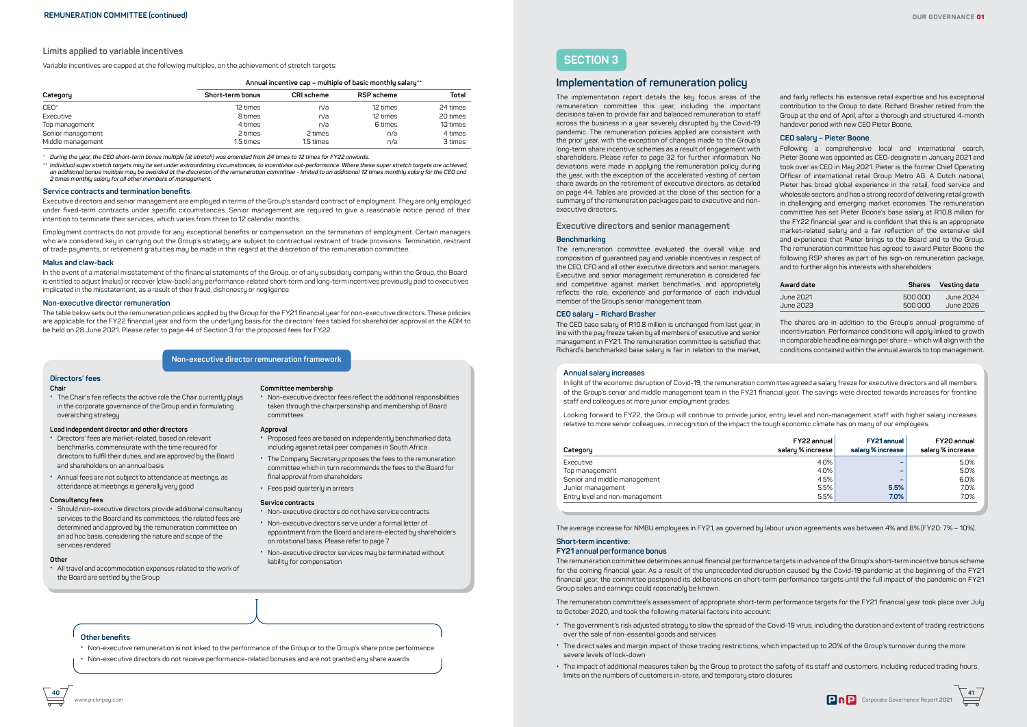

## **SECTION 3**

## **Implementation of remuneration policy**

The implementation report details the key focus areas of the remuneration committee this year, including the important decisions taken to provide fair and balanced remuneration to staff across the business in a year severely disrupted by the Covid-19 pandemic. The remuneration policies applied are consistent with the prior year, with the exception of changes made to the Group's long-term share incentive schemes as a result of engagement with shareholders. Please refer to page 32 for further information. No deviations were made in applying the remuneration policy during the year, with the exception of the accelerated vesting of certain share awards on the retirement of executive directors, as detailed on page 44. Tables are provided at the close of this section for a summary of the remuneration packages paid to executive and nonexecutive directors.

**Executive directors and senior management**

#### **Benchmarking**

The remuneration committee evaluated the overall value and composition of guaranteed pay and variable incentives in respect of the CEO, CFO and all other executive directors and senior managers. Executive and senior management remuneration is considered fair and competitive against market benchmarks, and appropriately reflects the role, experience and performance of each individual member of the Group's senior management team.

#### **CEO salary – Richard Brasher**

The CEO base salary of R10.8 million is unchanged from last year, in line with the pay freeze taken by all members of executive and senior management in FY21. The remuneration committee is satisfied that Richard's benchmarked base salary is fair in relation to the market,

and fairly reflects his extensive retail expertise and his exceptional contribution to the Group to date. Richard Brasher retired from the Group at the end of April, after a thorough and structured 4-month handover period with new CEO Pieter Boone.

#### **CEO salary – Pieter Boone**

Following a comprehensive local and international search, Pieter Boone was appointed as CEO-designate in January 2021 and took over as CEO in May 2021. Pieter is the former Chief Operating Officer of international retail Group Metro AG. A Dutch national, Pieter has broad global experience in the retail, food service and wholesale sectors, and has a strong record of delivering retail growth in challenging and emerging market economies. The remuneration committee has set Pieter Boone's base salary at R10.8 million for the FY22 financial year and is confident that this is an appropriate market-related salary and a fair reflection of the extensive skill and experience that Pieter brings to the Board and to the Group. The remuneration committee has agreed to award Pieter Boone the following RSP shares as part of his sign-on remuneration package, and to further align his interests with shareholders:

| Award date |         | Shares Vesting date |
|------------|---------|---------------------|
| June 2021  | 500 000 | June 2024           |
| June 2023  | 500 000 | June 2026           |

The shares are in addition to the Group's annual programme of incentivisation. Performance conditions will apply linked to growth in comparable headline earnings per share – which will align with the conditions contained within the annual awards to top management.



#### **Annual salary increases**

In light of the economic disruption of Covid-19, the remuneration committee agreed a salary freeze for executive directors and all members of the Group's senior and middle management team in the FY21 financial year. The savings were directed towards increases for frontline staff and colleagues at more junior employment grades.

Looking forward to FY22, the Group will continue to provide junior, entry level and non-management staff with higher salary increases relative to more senior colleagues, in recognition of the impact the tough economic climate has on many of our employees.

| Category                       | FY22 annual<br>salary % increase | FY21 annual<br>salary % increase | FY20 annual<br>salary % increase |
|--------------------------------|----------------------------------|----------------------------------|----------------------------------|
| Executive                      | 4.0%                             |                                  | 5.0%                             |
| Top management                 | 4.0%                             |                                  | 5.0%                             |
| Senior and middle management   | 4.5%                             |                                  | 6.0%                             |
| Junior management              | 5.5%                             | 5.5%                             | 7.0%                             |
| Entry level and non-management | 5.5%                             | 7.0%                             | 7.0%                             |

The average increase for NMBU employees in FY21, as governed by labour union agreements was between 4% and 8% (FY20: 7% – 10%).

#### **Short-term incentive:**

#### **FY21 annual performance bonus**

The remuneration committee determines annual financial performance targets in advance of the Group's short-term incentive bonus scheme for the coming financial year. As a result of the unprecedented disruption caused by the Covid-19 pandemic at the beginning of the FY21 financial year, the committee postponed its deliberations on short-term performance targets until the full impact of the pandemic on FY21 Group sales and earnings could reasonably be known.

The remuneration committee's assessment of appropriate short-term performance targets for the FY21 financial year took place over July to October 2020, and took the following material factors into account:

- **•** The government's risk adjusted strategy to slow the spread of the Covid-19 virus, including the duration and extent of trading restrictions over the sale of non-essential goods and services
- **•** The direct sales and margin impact of those trading restrictions, which impacted up to 20% of the Group's turnover during the more severe levels of lock-down
- **•** The impact of additional measures taken by the Group to protect the safety of its staff and customers, including reduced trading hours, limits on the numbers of customers in-store, and temporary store closures

#### **Limits applied to variable incentives**

Variable incentives are capped at the following multiples, on the achievement of stretch targets:

**Annual incentive cap – multiple of basic monthly salary\*\***

| Category          | Short-term bonus | <b>CRI</b> scheme | RSP scheme | Total    |
|-------------------|------------------|-------------------|------------|----------|
| $CEO*$            | 12 times         | n/a               | 12 times   | 24 times |
| Executive         | 8 times          | n/a               | 12 times   | 20 times |
| Top management    | 4 times          | n/a               | 6 times    | 10 times |
| Senior management | 2 times          | 2 times           | n/a        | 4 times  |
| Middle management | 1.5 times        | 1.5 times         | n/a        | 3 times  |

*\* During the year, the CEO short-term bonus multiple (at stretch) was amended from 24 times to 12 times for FY22 onwards.*

*\*\* Individual super stretch targets may be set under extraordinary circumstances, to incentivise out-performance. Where these super stretch targets are achieved, an additional bonus multiple may be awarded at the discretion of the remuneration committee - limited to an additional 12 times monthly salary for the CEO and 2 times monthly salary for all other members of management.*

#### **Service contracts and termination benefits**

Executive directors and senior management are employed in terms of the Group's standard contract of employment. They are only employed under fixed-term contracts under specific circumstances. Senior management are required to give a reasonable notice period of their intention to terminate their services, which varies from three to 12 calendar months.

Employment contracts do not provide for any exceptional benefits or compensation on the termination of employment. Certain managers who are considered key in carrying out the Group's strategy are subject to contractual restraint of trade provisions. Termination, restraint of trade payments, or retirement gratuities may be made in this regard at the discretion of the remuneration committee.

#### **Malus and claw-back**

In the event of a material misstatement of the financial statements of the Group, or of any subsidiary company within the Group, the Board is entitled to adjust (malus) or recover (claw-back) any performance-related short-term and long-term incentives previously paid to executives implicated in the misstatement, as a result of their fraud, dishonesty or negligence.

#### **Non-executive director remuneration**

The table below sets out the remuneration policies applied by the Group for the FY21 financial year for non-executive directors. These policies are applicable for the FY22 financial year and form the underlying basis for the directors' fees tabled for shareholder approval at the AGM to be held on 28 June 2021. Please refer to page 44 of Section 3 for the proposed fees for FY22.

#### **Non-executive director remuneration framework**

#### **Other benefits**

- **•** Non-executive remuneration is not linked to the performance of the Group or to the Group's share price performance
- **•** Non-executive directors do not receive performance-related bonuses and are not granted any share awards

## **Directors' fees**

#### **Chair**

- **•** The Chair's fee reflects the active role the Chair currently plays in the corporate governance of the Group and in formulating overarching strategy
- **Lead independent director and other directors**
- **•** Directors' fees are market-related, based on relevant benchmarks, commensurate with the time required for directors to fulfil their duties, and are approved by the Board and shareholders on an annual basis
- **•** Annual fees are not subject to attendance at meetings, as attendance at meetings is generally very good

#### **Consultancy fees**

**•** Should non-executive directors provide additional consultancy services to the Board and its committees, the related fees are determined and approved by the remuneration committee on an ad hoc basis, considering the nature and scope of the services rendered

#### **Other**

**•** All travel and accommodation expenses related to the work of the Board are settled by the Group

#### **Committee membership**

**•** Non-executive director fees reflect the additional responsibilities taken through the chairpersonship and membership of Board committees

#### **Approval**

- **•** Proposed fees are based on independently benchmarked data, including against retail peer companies in South Africa
- **•** The Company Secretary proposes the fees to the remuneration committee which in turn recommends the fees to the Board for final approval from shareholders
- **•** Fees paid quarterly in arrears

#### **Service contracts**

- **•** Non-executive directors do not have service contracts
- **•** Non-executive directors serve under a formal letter of appointment from the Board and are re-elected by shareholders on rotational basis. Please refer to page 7
- **•** Non-executive director services may be terminated without liability for compensation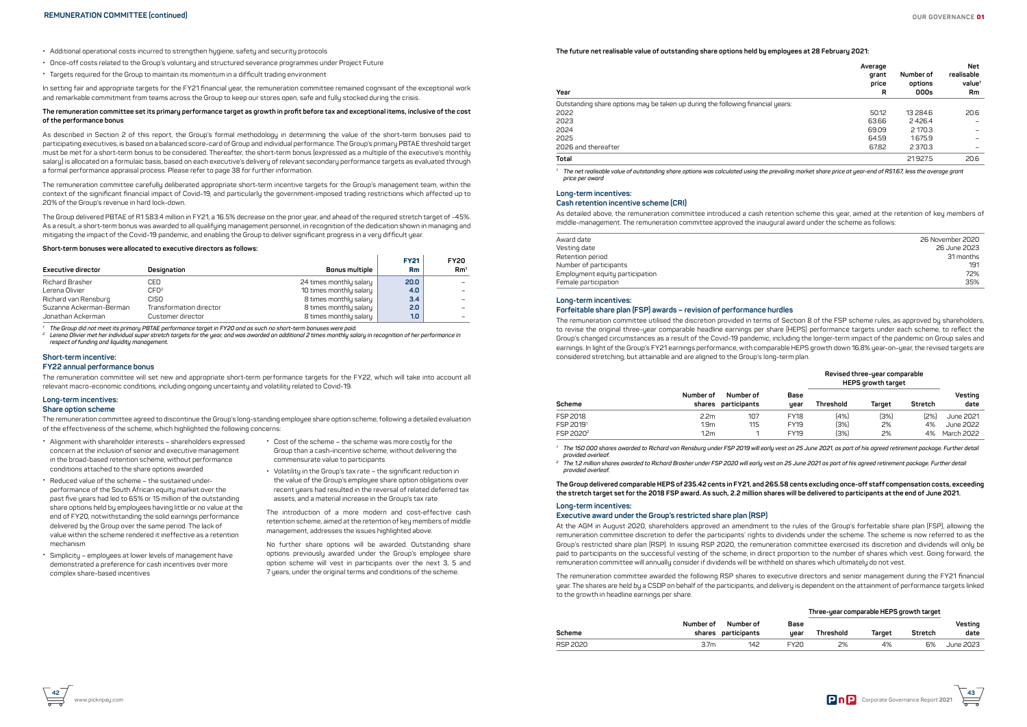

**43**



- **•** Additional operational costs incurred to strengthen hygiene, safety and security protocols
- **•** Once-off costs related to the Group's voluntary and structured severance programmes under Project Future
- **•** Targets required for the Group to maintain its momentum in a difficult trading environment

In setting fair and appropriate targets for the FY21 financial year, the remuneration committee remained cognisant of the exceptional work and remarkable commitment from teams across the Group to keep our stores open, safe and fully stocked during the crisis.

#### **The remuneration committee set its primary performance target as growth in profit before tax and exceptional items, inclusive of the cost of the performance bonus**

As described in Section 2 of this report, the Group's formal methodology in determining the value of the short-term bonuses paid to participating executives, is based on a balanced score-card of Group and individual performance. The Group's primary PBTAE threshold target must be met for a short-term bonus to be considered. Thereafter, the short-term bonus (expressed as a multiple of the executive's monthly salary) is allocated on a formulaic basis, based on each executive's delivery of relevant secondary performance targets as evaluated through a formal performance appraisal process. Please refer to page 38 for further information.

The remuneration committee carefully deliberated appropriate short-term incentive targets for the Group's management team, within the context of the significant financial impact of Covid-19, and particularly the government-imposed trading restrictions which affected up to 20% of the Group's revenue in hard lock-down.

The Group delivered PBTAE of R1 583.4 million in FY21, a 16.5% decrease on the prior year, and ahead of the required stretch target of -45%. As a result, a short-term bonus was awarded to all qualifuing management personnel, in recognition of the dedication shown in managing and mitigating the impact of the Covid-19 pandemic, and enabling the Group to deliver significant progress in a very difficult year.

#### **Short-term bonuses were allocated to executive directors as follows:**

| <b>Executive director</b> | Designation             | <b>Bonus multiple</b>   | <b>FY21</b><br>Rm | <b>FY20</b><br>Rm <sup>1</sup> |
|---------------------------|-------------------------|-------------------------|-------------------|--------------------------------|
| <b>Richard Brasher</b>    | CEO                     | 24 times monthly salary | 20.0              |                                |
| Lerena Olivier            | CFO <sup>2</sup>        | 10 times monthly salary | 4.0               |                                |
| Richard van Rensburg      | CISO                    | 8 times monthly salary  | 3.4               |                                |
| Suzanne Ackerman-Berman   | Transformation director | 8 times monthly salary  | 2.0               |                                |
| Jonathan Ackerman         | Customer director       | 8 times monthly salary  | 1.0 <sub>1</sub>  |                                |

*1 The Group did not meet its primary PBTAE performance target in FY20 and as such no short-term bonuses were paid.*

*<sup>2</sup> Lerena Olivier met her individual super stretch targets for the year, and was awarded an additional 2 times monthly salary in recognition of her performance in respect of funding and liquidity management.*

## **Short-term incentive:**

#### **FY22 annual performance bonus**

The remuneration committee will set new and appropriate short-term performance targets for the FY22, which will take into account all relevant macro-economic conditions, including ongoing uncertainty and volatility related to Covid-19.

## **Long-term incentives:**

## **Share option scheme**

The remuneration committee agreed to discontinue the Group's long-standing employee share option scheme, following a detailed evaluation of the effectiveness of the scheme, which highlighted the following concerns:

#### **The future net realisable value of outstanding share options held by employees at 28 February 2021:**

| Year                                                                            | Average<br>grant<br>price<br>R | Number of<br>options<br>000s | <b>Net</b><br>realisable<br>value <sup>1</sup><br>Rm |
|---------------------------------------------------------------------------------|--------------------------------|------------------------------|------------------------------------------------------|
| Outstanding share options may be taken up during the following financial years: |                                |                              |                                                      |
| 2022                                                                            | 50.12                          | 13 2 8 4.6                   | 20.6                                                 |
| 2023                                                                            | 63.66                          | 2426.4                       |                                                      |
| 2024                                                                            | 69.09                          | 2 170.3                      |                                                      |
| 2025                                                                            | 64.59                          | 1675.9                       |                                                      |
| 2026 and thereafter                                                             | 67.82                          | 2 3 7 0.3                    |                                                      |
| Total                                                                           |                                | 21927.5                      | 20.6                                                 |

*<sup>1</sup> The net realisable value of outstanding share options was calculated using the prevailing market share price at year-end of R51.67, less the average grant price per award*

#### **Long-term incentives: Cash retention incentive scheme (CRI)**

As detailed above, the remuneration committee introduced a cash retention scheme this year, aimed at the retention of key members of middle-management. The remuneration committee approved the inaugural award under the scheme as follows:

| Award date                      | 26 November 2020 |
|---------------------------------|------------------|
| Vesting date                    | 26 June 2023     |
| Retention period                | 31 months        |
| Number of participants          | 191              |
| Employment equity participation | 72%              |
| Female participation            | 35%              |

## **Long-term incentives:**

## **Forfeitable share plan (FSP) awards – revision of performance hurdles**

The remuneration committee utilised the discretion provided in terms of Section 8 of the FSP scheme rules, as approved by shareholders, to revise the original three-year comparable headline earnings per share (HEPS) performance targets under each scheme, to reflect the Group's changed circumstances as a result of the Covid-19 pandemic, including the longer-term impact of the pandemic on Group sales and earnings. In light of the Group's FY21 earnings performance, with comparable HEPS growth down 16.8% year-on-year, the revised targets are considered stretching, but attainable and are aligned to the Group's long-term plan.

#### **Revised three-year comparable HEPS growth target**



| Scheme                | Number of<br>shares | Number of<br>participants | Base<br>uear | Threshold | Target | Stretch | Vesting<br>date |
|-----------------------|---------------------|---------------------------|--------------|-----------|--------|---------|-----------------|
| FSP 2018              | 2.2 <sub>m</sub>    | 107                       | <b>FY18</b>  | (4%)      | (3%)   | (2%)    | June 2021       |
| FSP 20191             | 1.9 <sub>m</sub>    | 115                       | FY19         | (3%)      | 2%     | 4%      | June 2022       |
| FSP 2020 <sup>2</sup> | 1.2 <sub>m</sub>    |                           | <b>FY19</b>  | (3%)      | 2%     | 4%      | March 2022      |

*<sup>1</sup> The 150 000 shares awarded to Richard van Rensburg under FSP 2019 will early vest on 25 June 2021, as part of his agreed retirement package. Further detail provided overleaf.*

*<sup>2</sup> The 1.2 million shares awarded to Richard Brasher under FSP 2020 will early vest on 25 June 2021 as part of his agreed retirement package. Further detail provided overleaf.* 

**The Group delivered comparable HEPS of 235.42 cents in FY21, and 265.58 cents excluding once-off staff compensation costs, exceeding the stretch target set for the 2018 FSP award. As such, 2.2 million shares will be delivered to participants at the end of June 2021.** 

## **Long-term incentives:**

## **Executive award under the Group's restricted share plan (RSP)**

At the AGM in August 2020, shareholders approved an amendment to the rules of the Group's forfeitable share plan (FSP), allowing the remuneration committee discretion to defer the participants' rights to dividends under the scheme. The scheme is now referred to as the Group's restricted share plan (RSP). In issuing RSP 2020, the remuneration committee exercised its discretion and dividends will only be paid to participants on the successful vesting of the scheme, in direct proportion to the number of shares which vest. Going forward, the remuneration committee will annually consider if dividends will be withheld on shares which ultimately do not vest.

The remuneration committee awarded the following RSP shares to executive directors and senior management during the FY21 financial year. The shares are held by a CSDP on behalf of the participants, and delivery is dependent on the attainment of performance targets linked to the growth in headline earnings per share.

|          |                  |                                  |              | Three-year comparable HEPS growth target |        |         |                 |
|----------|------------------|----------------------------------|--------------|------------------------------------------|--------|---------|-----------------|
| Scheme   | Number of        | Number of<br>shares participants | Base<br>uear | Threshold                                | Target | Stretch | Vesting<br>date |
| RSP 2020 | 3.7 <sub>m</sub> | 142                              | <b>FY20</b>  | 2%                                       | 4%     | 6%      | June 2023       |

- **•** Alignment with shareholder interests shareholders expressed concern at the inclusion of senior and executive management in the broad-based retention scheme, without performance conditions attached to the share options awarded
- **•** Reduced value of the scheme the sustained underperformance of the South African equity market over the past five years had led to 65% or 15 million of the outstanding share options held by employees having little or no value at the end of FY20, notwithstanding the solid earnings performance delivered by the Group over the same period. The lack of value within the scheme rendered it ineffective as a retention mechanism
- **•** Simplicity employees at lower levels of management have demonstrated a preference for cash incentives over more complex share-based incentives
- **•** Cost of the scheme the scheme was more costly for the Group than a cash-incentive scheme, without delivering the commensurate value to participants
- **•** Volatility in the Group's tax rate the significant reduction in the value of the Group's employee share option obligations over recent years had resulted in the reversal of related deferred tax assets, and a material increase in the Group's tax rate

The introduction of a more modern and cost-effective cash retention scheme, aimed at the retention of key members of middle management, addresses the issues highlighted above.

No further share options will be awarded. Outstanding share options previously awarded under the Group's employee share option scheme will vest in participants over the next 3, 5 and 7 years, under the original terms and conditions of the scheme.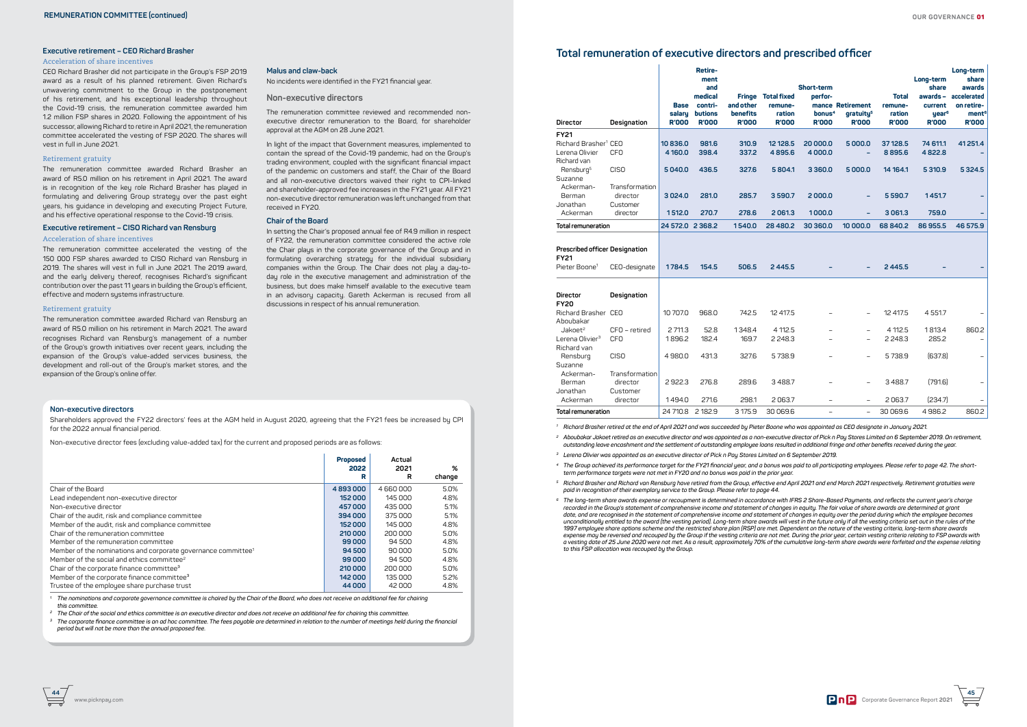



#### **Executive retirement – CEO Richard Brasher**

#### Acceleration of share incentives

CEO Richard Brasher did not participate in the Group's FSP 2019 award as a result of his planned retirement. Given Richard's unwavering commitment to the Group in the postponement of his retirement, and his exceptional leadership throughout the Covid-19 crisis, the remuneration committee awarded him 1.2 million FSP shares in 2020. Following the appointment of his successor, allowing Richard to retire in April 2021, the remuneration committee accelerated the vesting of FSP 2020. The shares will vest in full in June 2021.

#### Retirement gratuity

The remuneration committee awarded Richard Brasher an award of R5.0 million on his retirement in April 2021. The award is in recognition of the key role Richard Brasher has played in formulating and delivering Group strategy over the past eight years, his guidance in developing and executing Project Future, and his effective operational response to the Covid-19 crisis.

#### **Executive retirement – CISO Richard van Rensburg**

#### Acceleration of share incentives

The remuneration committee accelerated the vesting of the 150 000 FSP shares awarded to CISO Richard van Rensburg in 2019. The shares will vest in full in June 2021. The 2019 award, and the early delivery thereof, recognises Richard's significant contribution over the past 11 years in building the Group's efficient, effective and modern systems infrastructure.

#### Retirement gratuity

In setting the Chair's proposed annual fee of R4.9 million in respect of FY22, the remuneration committee considered the active role the Chair plays in the corporate governance of the Group and in formulating overarching strategy for the individual subsidiary companies within the Group. The Chair does not play a day-today role in the executive management and administration of the business, but does make himself available to the executive team in an advisory capacity. Gareth Ackerman is recused from all discussions in respect of his annual remuneration.

The remuneration committee awarded Richard van Rensburg an award of R5.0 million on his retirement in March 2021. The award recognises Richard van Rensburg's management of a number of the Group's growth initiatives over recent years, including the expansion of the Group's value-added services business, the development and roll-out of the Group's market stores, and the expansion of the Group's online offer.

#### **Malus and claw-back**

No incidents were identified in the FY21 financial year.

#### **Non-executive directors**

The remuneration committee reviewed and recommended nonexecutive director remuneration to the Board, for shareholder approval at the AGM on 28 June 2021.

In light of the impact that Government measures, implemented to contain the spread of the Covid-19 pandemic, had on the Group's trading environment, coupled with the significant financial impact of the pandemic on customers and staff, the Chair of the Board and all non-executive directors waived their right to CPI-linked and shareholder-approved fee increases in the FY21 year. All FY21 non-executive director remuneration was left unchanged from that received in FY20.

#### **Chair of the Board**

# **Total remuneration of executive directors and prescribed officer**

| Director                                                                   | Designation                | <b>Base</b><br>salary<br><b>R'000</b> | <b>Retire-</b><br>ment<br>and<br>medical<br>contri-<br><b>butions</b><br><b>R'000</b> | and other<br><b>benefits</b><br><b>R'000</b> | <b>Fringe Total fixed</b><br>remune-<br>ration<br><b>R'000</b> | Short-term<br>perfor-<br>bonus <sup>4</sup><br><b>R'000</b> | mance Retirement<br>qratuity <sup>5</sup><br><b>R'000</b> | <b>Total</b><br>remune-<br>ration<br><b>R'000</b> | Long-term<br>share<br>awards -<br>current<br>year <sup>6</sup><br><b>R'000</b> | Long-term<br>share<br>awards<br>accelerated<br>on retire-<br>ment <sup>6</sup><br><b>R'000</b> |
|----------------------------------------------------------------------------|----------------------------|---------------------------------------|---------------------------------------------------------------------------------------|----------------------------------------------|----------------------------------------------------------------|-------------------------------------------------------------|-----------------------------------------------------------|---------------------------------------------------|--------------------------------------------------------------------------------|------------------------------------------------------------------------------------------------|
| <b>FY21</b>                                                                |                            |                                       |                                                                                       |                                              |                                                                |                                                             |                                                           |                                                   |                                                                                |                                                                                                |
| Richard Brasher <sup>1</sup> CEO<br>Lerena Olivier                         | <b>CFO</b>                 | 10836.0<br>4 160.0                    | 981.6<br>398.4                                                                        | 310.9<br>337.2                               | 12 12 8.5<br>4895.6                                            | 20 000.0<br>4 0 0 0.0                                       | 5000.0                                                    | 37 128.5<br>8895.6                                | 74 611.1<br>4 8 2 2.8                                                          | 41 251.4                                                                                       |
| Richard van                                                                |                            |                                       |                                                                                       |                                              |                                                                |                                                             |                                                           |                                                   |                                                                                |                                                                                                |
| Rensburg <sup>5</sup>                                                      | <b>CISO</b>                | 5040.0                                | 436.5                                                                                 | 327.6                                        | 5 804.1                                                        | 3 3 6 0.0                                                   | 5000.0                                                    | 14 164.1                                          | 5 3 1 0.9                                                                      | 5 3 2 4.5                                                                                      |
| Suzanne                                                                    |                            |                                       |                                                                                       |                                              |                                                                |                                                             |                                                           |                                                   |                                                                                |                                                                                                |
| Ackerman-<br>Berman                                                        | Transformation<br>director | 3024.0                                | 281.0                                                                                 | 285.7                                        | 3590.7                                                         | 2000.0                                                      |                                                           | 5 5 9 0.7                                         | 1451.7                                                                         |                                                                                                |
| Jonathan                                                                   | Customer                   |                                       |                                                                                       |                                              |                                                                |                                                             |                                                           |                                                   |                                                                                |                                                                                                |
| Ackerman                                                                   | director                   | 1512.0                                | 270.7                                                                                 | 278.6                                        | 2061.3                                                         | 1000.0                                                      |                                                           | 3061.3                                            | 759.0                                                                          |                                                                                                |
| Total remuneration                                                         |                            | 24 572.0 2 368.2                      |                                                                                       | 1540.0                                       | 28 480.2                                                       | 30 360.0                                                    | 10 000.0                                                  | 68 840.2                                          | 86955.5                                                                        | 46 575.9                                                                                       |
| Prescribed officer Designation<br><b>FY21</b><br>Pieter Boone <sup>1</sup> | CEO-designate              | 1784.5                                | 154.5                                                                                 | 506.5                                        | 2 4 4 5.5                                                      |                                                             |                                                           | 2445.5                                            |                                                                                |                                                                                                |
| <b>Director</b><br><b>FY20</b>                                             | Designation                |                                       |                                                                                       |                                              |                                                                |                                                             |                                                           |                                                   |                                                                                |                                                                                                |
| Richard Brasher CEO<br>Aboubakar                                           |                            | 10 707.0                              | 968.0                                                                                 | 742.5                                        | 12 417.5                                                       |                                                             | $\overline{\phantom{0}}$                                  | 12 417.5                                          | 4551.7                                                                         |                                                                                                |
| Jakoet <sup>2</sup>                                                        | CFO - retired              | 2 711.3                               | 52.8                                                                                  | 1348.4                                       | 4 1 12.5                                                       | $\overline{a}$                                              | $\qquad \qquad -$                                         | 4 112.5                                           | 1813.4                                                                         | 860.2                                                                                          |
| Lerena Olivier <sup>3</sup>                                                | <b>CFO</b>                 | 1896.2                                | 182.4                                                                                 | 169.7                                        | 2 2 4 8 . 3                                                    |                                                             | $\qquad \qquad -$                                         | 2 2 4 8 .3                                        | 285.2                                                                          |                                                                                                |
| Richard van                                                                |                            |                                       |                                                                                       |                                              |                                                                |                                                             |                                                           |                                                   |                                                                                |                                                                                                |
| Rensburg<br>Suzanne                                                        | <b>CISO</b>                | 4980.0                                | 431.3                                                                                 | 327.6                                        | 5738.9                                                         |                                                             | $\overline{\phantom{0}}$                                  | 5738.9                                            | (637.8)                                                                        |                                                                                                |
| Ackerman-<br>Berman                                                        | Transformation<br>director | 2922.3                                | 276.8                                                                                 | 289.6                                        | 3488.7                                                         | $\overline{\phantom{0}}$                                    | $\qquad \qquad -$                                         | 3488.7                                            | (791.6)                                                                        |                                                                                                |
| Jonathan<br>Ackerman                                                       | Customer<br>director       | 1494.0                                | 271.6                                                                                 | 298.1                                        | 2063.7                                                         |                                                             |                                                           | 2063.7                                            | [234.7]                                                                        |                                                                                                |
| Total remuneration                                                         |                            | 24 710.8                              | 2 18 2.9                                                                              | 3 175.9                                      | 30069.6                                                        | -                                                           | $\qquad \qquad -$                                         | 30 069.6                                          | 4986.2                                                                         | 860.2                                                                                          |

<sup>3</sup> The corporate finance committee is an ad hoc committee. The fees payable are determined in relation to the number of meetings held during the financial *period but will not be more than the annual proposed fee.* 

- *<sup>1</sup> Richard Brasher retired at the end of April 2021 and was succeeded by Pieter Boone who was appointed as CEO designate in January 2021.*
- <sup>2</sup> Aboubakar Jakoet retired as an executive director and was appointed as a non-executive director of Pick n Pay Stores Limited on 6 September 2019. On retirement, *outstanding leave encashment and the settlement of outstanding employee loans resulted in additional fringe and other benefits received during the year.*
- *<sup>3</sup> Lerena Olivier was appointed as an executive director of Pick n Pay Stores Limited on 6 September 2019.*
- *<sup>4</sup> The Group achieved its performance target for the FY21 financial year, and a bonus was paid to all participating employees. Please refer to page 42. The shortterm performance targets were not met in FY20 and no bonus was paid in the prior year.*
- *<sup>5</sup> Richard Brasher and Richard van Rensburg have retired from the Group, effective end April 2021 and end March 2021 respectively. Retirement gratuities were paid in recognition of their exemplary service to the Group. Please refer to page 44.*
- *<sup>6</sup> The long-term share awards expense or recoupment is determined in accordance with IFRS 2 Share-Based Payments, and reflects the current year's charge recorded in the Group's statement of comprehensive income and statement of changes in equity. The fair value of share awards are determined at grant date, and are recognised in the statement of comprehensive income and statement of changes in equity over the period during which the employee becomes unconditionally entitled to the award (the vesting period). Long-term share awards will vest in the future only if all the vesting criteria set out in the rules of the 1997 employee share options scheme and the restricted share plan (RSP) are met. Dependent on the nature of the vesting criteria, long-term share awards expense may be reversed and recouped by the Group if the vesting criteria are not met. During the prior year, certain vesting criteria relating to FSP awards with a vesting date of 25 June 2020 were not met. As a result, approximately 70% of the cumulative long-term share awards were forfeited and the expense relating to this FSP allocation was recouped by the Group.*

#### **Non-executive directors**

Shareholders approved the FY22 directors' fees at the AGM held in August 2020, agreeing that the FY21 fees be increased by CPI for the 2022 annual financial period.

Non-executive director fees (excluding value-added tax) for the current and proposed periods are as follows:

|                                                                           | <b>Proposed</b><br>2022<br>R | Actual<br>2021<br>R | %<br>change |
|---------------------------------------------------------------------------|------------------------------|---------------------|-------------|
| Chair of the Board                                                        | 4893000                      | 4660000             | 5.0%        |
| Lead independent non-executive director                                   | 152000                       | 145 000             | 4.8%        |
| Non-executive director                                                    | 457000                       | 435 000             | 5.1%        |
| Chair of the audit, risk and compliance committee                         | 394 000                      | 375 000             | 5.1%        |
| Member of the audit, risk and compliance committee                        | 152000                       | 145 000             | 4.8%        |
| Chair of the remuneration committee                                       | 210 000                      | 200 000             | 5.0%        |
| Member of the remuneration committee                                      | 99000                        | 94 500              | 4.8%        |
| Member of the nominations and corporate governance committee <sup>1</sup> | 94 500                       | 90,000              | 5.0%        |
| Member of the social and ethics committee <sup>2</sup>                    | 99 000                       | 94 500              | 4.8%        |
| Chair of the corporate finance committee <sup>3</sup>                     | 210 000                      | 200 000             | 5.0%        |
| Member of the corporate finance committee <sup>3</sup>                    | 142000                       | 135 000             | 5.2%        |
| Trustee of the employee share purchase trust                              | 44 000                       | 42000               | 4.8%        |

*<sup>1</sup> The nominations and corporate governance committee is chaired by the Chair of the Board, who does not receive an additional fee for chairing this committee.*

*<sup>2</sup> The Chair of the social and ethics committee is an executive director and does not receive an additional fee for chairing this committee.*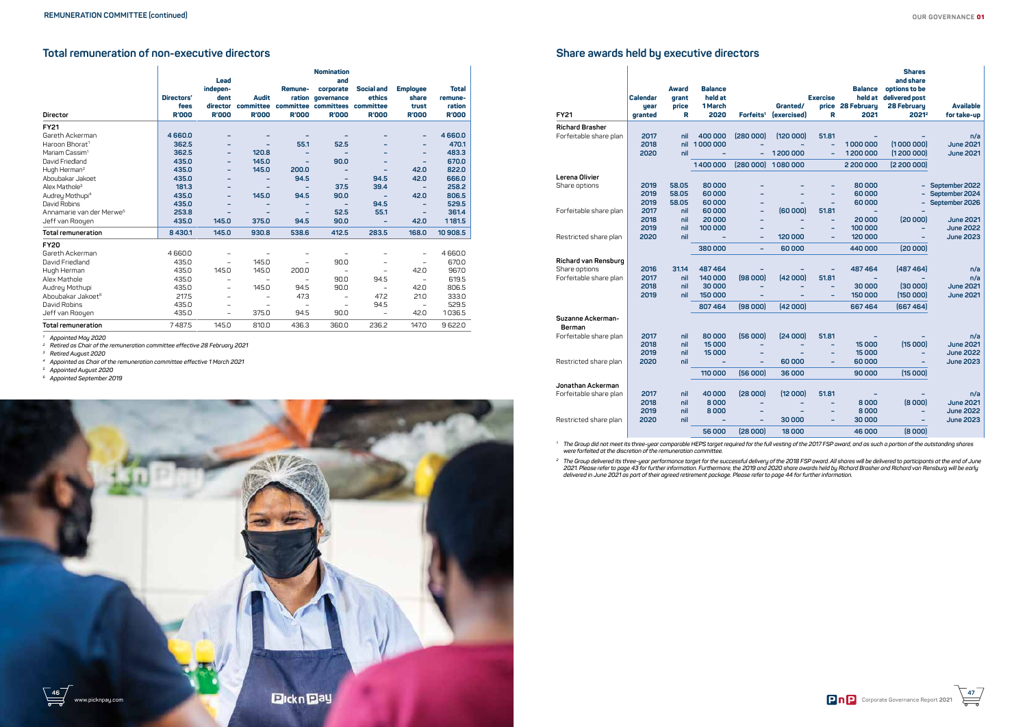



# **Share awards held by executive directors**

| <b>FY21</b>            | <b>Calendar</b><br>year<br>granted | <b>Award</b><br>grant<br>price<br>R | <b>Balance</b><br>held at<br>1 March<br>2020 | Forfeits <sup>1</sup> | Granted/<br><i><b><u><u><b>I</b>exercised</u></u></b></i> | <b>Exercise</b><br>R | <b>Balance</b><br>held at<br>price 28 February<br>2021 | <b>Shares</b><br>and share<br>options to be<br>delivered post<br>28 February<br>20212 | <b>Available</b><br>for take-up |
|------------------------|------------------------------------|-------------------------------------|----------------------------------------------|-----------------------|-----------------------------------------------------------|----------------------|--------------------------------------------------------|---------------------------------------------------------------------------------------|---------------------------------|
| <b>Richard Brasher</b> |                                    |                                     |                                              |                       |                                                           |                      |                                                        |                                                                                       |                                 |
| Forfeitable share plan | 2017                               | nil                                 | 400 000                                      | (280000)              | (120000)                                                  | 51.81                |                                                        |                                                                                       | n/a                             |
|                        | 2018                               | nil                                 | 1000000                                      |                       |                                                           | ۰                    | 1000000                                                | [1000000]                                                                             | <b>June 2021</b>                |
|                        | 2020                               | nil                                 |                                              | $\equiv$              | 1200 000                                                  |                      | 1200000                                                | (1200000)                                                                             | <b>June 2021</b>                |
|                        |                                    |                                     | 1400000                                      | (280000)              | 1080000                                                   |                      | 2 200 000                                              | (2200000)                                                                             |                                 |
| Lerena Olivier         |                                    |                                     |                                              |                       |                                                           |                      |                                                        |                                                                                       |                                 |
| Share options          | 2019                               | 58.05                               | 80000                                        |                       |                                                           |                      | 80000                                                  | -                                                                                     | September 2022                  |
|                        | 2019                               | 58.05                               | 60000                                        |                       |                                                           | ۰                    | 60000                                                  |                                                                                       | September 2024                  |
|                        | 2019                               | 58.05                               | 60000                                        |                       |                                                           |                      | 60000                                                  |                                                                                       | September 2026                  |
| Forfeitable share plan | 2017<br>2018                       | nil<br>nil                          | 60000<br>20 000                              | -                     | [60000]                                                   | 51.81<br>-           | 20 000                                                 | (20000)                                                                               | <b>June 2021</b>                |
|                        | 2019                               | nil                                 | 100 000                                      |                       |                                                           |                      | 100 000                                                |                                                                                       | <b>June 2022</b>                |
| Restricted share plan  | 2020                               | nil                                 |                                              | -                     | 120000                                                    |                      | 120000                                                 |                                                                                       | <b>June 2023</b>                |
|                        |                                    |                                     | 380000                                       | -                     | 60000                                                     |                      | 440 000                                                | (20000)                                                                               |                                 |
| Richard van Rensburg   |                                    |                                     |                                              |                       |                                                           |                      |                                                        |                                                                                       |                                 |
| Share options          | 2016                               | 31.14                               | 487464                                       |                       |                                                           |                      | 487464                                                 | (487 464)                                                                             | n/a                             |
| Forfeitable share plan | 2017                               | nil                                 | 140 000                                      | (98000)               | [42000]                                                   | 51.81                |                                                        |                                                                                       | n/a                             |
|                        | 2018                               | nil                                 | 30 000                                       |                       |                                                           |                      | 30 000                                                 | (30000)                                                                               | <b>June 2021</b>                |
|                        | 2019                               | nil                                 | 150 000                                      |                       |                                                           |                      | 150 000                                                | (150000)                                                                              | <b>June 2021</b>                |
|                        |                                    |                                     | 807464                                       | (98000)               | (42000)                                                   |                      | 667464                                                 | [667 464]                                                                             |                                 |
| Suzanne Ackerman-      |                                    |                                     |                                              |                       |                                                           |                      |                                                        |                                                                                       |                                 |
| Berman                 |                                    |                                     |                                              |                       |                                                           |                      |                                                        |                                                                                       |                                 |
| Forfeitable share plan | 2017                               | nil                                 | 80000<br>15 000                              | [56000]               | [24000]                                                   | 51.81                |                                                        | (15000)                                                                               | n/a<br><b>June 2021</b>         |
|                        | 2018<br>2019                       | nil<br>nil                          | 15000                                        |                       |                                                           |                      | 15000<br>15 000                                        | -                                                                                     | <b>June 2022</b>                |
| Restricted share plan  | 2020                               | nil                                 |                                              | ۰                     | 60000                                                     |                      | 60000                                                  |                                                                                       | <b>June 2023</b>                |
|                        |                                    |                                     | 110 000                                      | [56000]               | 36 000                                                    |                      | 90 000                                                 | (15000)                                                                               |                                 |
| Jonathan Ackerman      |                                    |                                     |                                              |                       |                                                           |                      |                                                        |                                                                                       |                                 |
| Forfeitable share plan | 2017                               | nil                                 | 40000                                        | (28000)               | [12000]                                                   | 51.81                |                                                        |                                                                                       | n/a                             |
|                        | 2018                               | nil                                 | 8000                                         |                       |                                                           |                      | 8000                                                   | (8000)                                                                                | <b>June 2021</b>                |
|                        | 2019                               | nil                                 | 8000                                         |                       |                                                           |                      | 8000                                                   | ۳                                                                                     | <b>June 2022</b>                |
| Restricted share plan  | 2020                               | nil                                 |                                              |                       | 30 000                                                    |                      | 30 000                                                 |                                                                                       | <b>June 2023</b>                |
|                        |                                    |                                     | 56000                                        | (28000)               | 18 000                                                    |                      | 46 000                                                 | (8 000)                                                                               |                                 |

*<sup>1</sup> The Group did not meet its three-year comparable HEPS target required for the full vesting of the 2017 FSP award, and as such a portion of the outstanding shares were forfeited at the discretion of the remuneration committee.* 

*<sup>2</sup> The Group delivered its three-year performance target for the successful delivery of the 2018 FSP award. All shares will be delivered to participants at the end of June 2021. Please refer to page 43 for further information. Furthermore, the 2019 and 2020 share awards held by Richard Brasher and Richard van Rensburg will be early delivered in June 2021 as part of their agreed retirement package. Please refer to page 44 for further information.*

# **Total remuneration of non-executive directors**

|                                      |                    | <b>Lead</b>                  |                           |              | <b>Nomination</b><br>and                                         |                             |                                   |                                   |
|--------------------------------------|--------------------|------------------------------|---------------------------|--------------|------------------------------------------------------------------|-----------------------------|-----------------------------------|-----------------------------------|
|                                      | Directors'<br>fees | indepen-<br>dent<br>director | <b>Audit</b><br>committee | Remune-      | corporate<br>ration governance<br>committee committees committee | <b>Social and</b><br>ethics | <b>Employee</b><br>share<br>trust | <b>Total</b><br>remune-<br>ration |
| <b>Director</b>                      | <b>R'000</b>       | <b>R'000</b>                 | <b>R'000</b>              | <b>R'000</b> | <b>R'000</b>                                                     | <b>R'000</b>                | <b>R'000</b>                      | <b>R'000</b>                      |
| <b>FY21</b>                          |                    |                              |                           |              |                                                                  |                             |                                   |                                   |
| Gareth Ackerman                      | 4660.0             | -                            |                           |              |                                                                  |                             | -                                 | 4660.0                            |
| Haroon Bhorat <sup>1</sup>           | 362.5              | -                            |                           | 55.1         | 52.5                                                             |                             | -                                 | 470.1                             |
| Mariam Cassim <sup>1</sup>           | 362.5              | -                            | 120.8                     |              |                                                                  |                             | -                                 | 483.3                             |
| David Friedland                      | 435.0              | -                            | 145.0                     |              | 90.0                                                             |                             | -                                 | 670.0                             |
| Hugh Herman <sup>2</sup>             | 435.0              |                              | 145.0                     | 200.0        |                                                                  |                             | 42.0                              | 822.0                             |
| Aboubakar Jakoet                     | 435.0              |                              |                           | 94.5         |                                                                  | 94.5                        | 42.0                              | 666.0                             |
| Alex Mathole <sup>3</sup>            | 181.3              | -                            |                           |              | 37.5                                                             | 39.4                        | -                                 | 258.2                             |
| Audrey Mothupi <sup>4</sup>          | 435.0              | -                            | 145.0                     | 94.5         | 90.0                                                             | -                           | 42.0                              | 806.5                             |
| David Robins                         | 435.0              |                              |                           |              |                                                                  | 94.5                        |                                   | 529.5                             |
| Annamarie van der Merwe <sup>5</sup> | 253.8              |                              |                           |              | 52.5                                                             | 55.1                        |                                   | 361.4                             |
| Jeff van Rooyen                      | 435.0              | 145.0                        | 375.0                     | 94.5         | 90.0                                                             | -                           | 42.0                              | 1181.5                            |
| <b>Total remuneration</b>            | 8 4 3 0.1          | 145.0                        | 930.8                     | 538.6        | 412.5                                                            | 283.5                       | 168.0                             | 10 908.5                          |
| <b>FY20</b>                          |                    |                              |                           |              |                                                                  |                             |                                   |                                   |
| Gareth Ackerman                      | 4660.0             | -                            |                           |              |                                                                  |                             | $\qquad \qquad -$                 | 4660.0                            |
| David Friedland                      | 435.0              |                              | 145.0                     |              | 90.0                                                             |                             |                                   | 670.0                             |
| Hugh Herman                          | 435.0              | 145.0                        | 145.0                     | 200.0        |                                                                  |                             | 42.0                              | 967.0                             |
| Alex Mathole                         | 435.0              |                              |                           |              | 90.0                                                             | 94.5                        |                                   | 619.5                             |
| Audrey Mothupi                       | 435.0              | -                            | 145.0                     | 94.5         | 90.0                                                             | $\qquad \qquad$             | 42.0                              | 806.5                             |
| Aboubakar Jakoet <sup>6</sup>        | 217.5              | $\overline{\phantom{0}}$     |                           | 47.3         |                                                                  | 47.2                        | 21.0                              | 333.0                             |
| David Robins                         | 435.0              |                              |                           |              |                                                                  | 94.5                        |                                   | 529.5                             |
| Jeff van Rooyen                      | 435.0              | $\overline{\phantom{0}}$     | 375.0                     | 94.5         | 90.0                                                             | $\overline{\phantom{0}}$    | 42.0                              | 1036.5                            |
| <b>Total remuneration</b>            | 7487.5             | 145.0                        | 810.0                     | 436.3        | 360.0                                                            | 236.2                       | 147.0                             | 9622.0                            |

*1 Appointed May 2020*

*2 Retired as Chair of the remuneration committee effective 28 February 2021*

*3 Retired August 2020*

*4 Appointed as Chair of the remuneration committee effective 1 March 2021*

*5 Appointed August 2020*

*6 Appointed September 2019*